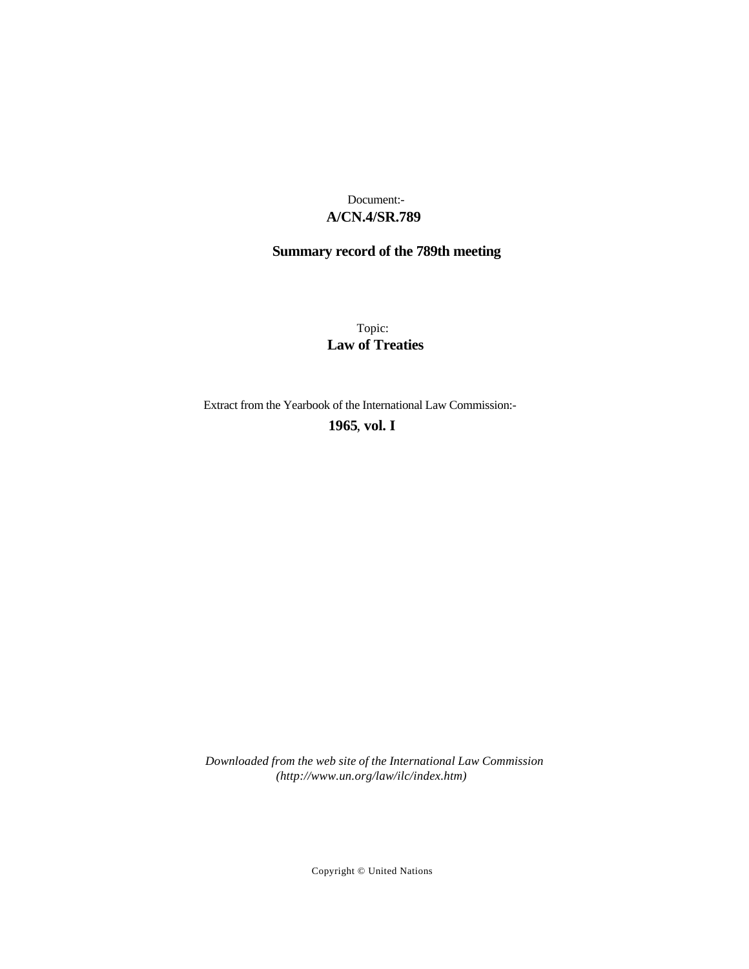# **A/CN.4/SR.789** Document:-

# **Summary record of the 789th meeting**

Topic: **Law of Treaties**

Extract from the Yearbook of the International Law Commission:-

**1965** , **vol. I**

*Downloaded from the web site of the International Law Commission (http://www.un.org/law/ilc/index.htm)*

Copyright © United Nations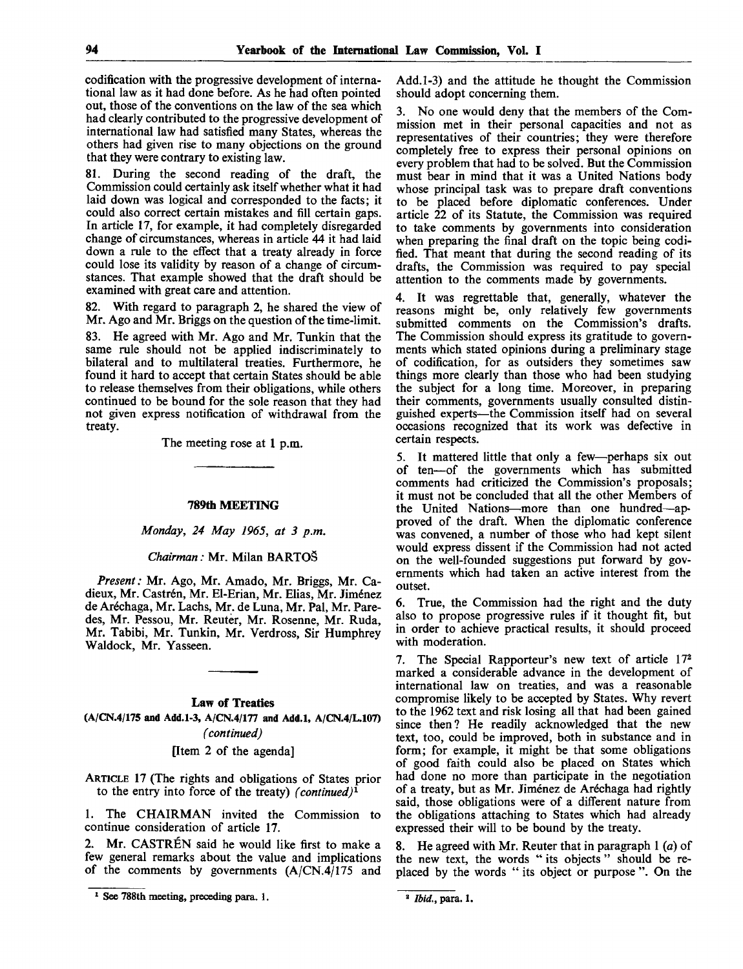codification with the progressive development of international law as it had done before. As he had often pointed out, those of the conventions on the law of the sea which had clearly contributed to the progressive development of international law had satisfied many States, whereas the others had given rise to many objections on the ground that they were contrary to existing law.

81. During the second reading of the draft, the Commission could certainly ask itself whether what it had laid down was logical and corresponded to the facts; it could also correct certain mistakes and fill certain gaps. In article 17, for example, it had completely disregarded change of circumstances, whereas in article 44 it had laid down a rule to the effect that a treaty already in force could lose its validity by reason of a change of circumstances. That example showed that the draft should be examined with great care and attention.

82. With regard to paragraph 2, he shared the view of Mr. Ago and Mr. Briggs on the question of the time-limit.

83. He agreed with Mr. Ago and Mr. Tunkin that the same rule should not be applied indiscriminately to bilateral and to multilateral treaties. Furthermore, he found it hard to accept that certain States should be able to release themselves from their obligations, while others continued to be bound for the sole reason that they had not given express notification of withdrawal from the treaty.

The meeting rose at **1** p.m.

#### **789th MEETING**

*Monday, 24 May 1965, at 3 p.m.*

#### *Chairman:* Mr. Milan BARTOS

*Present:* Mr. Ago, Mr. Amado, Mr. Briggs, Mr. Cadieux, Mr. Castrén, Mr. El-Erian, Mr. Elias, Mr. Jiménez de Arechaga, Mr. Lachs, Mr. de Luna, Mr. Pal, Mr. Paredes, Mr. Pessou, Mr. Reuter, Mr. Rosenne, Mr. Ruda, Mr. Tabibi, Mr. Tunkin, Mr. Verdross, Sir Humphrey Waldock, Mr. Yasseen.

# **Law of Treaties**

**(A/CN.4/175 and Add.1-3, A/CN.4/177 and Add.l, A/CN.4/L.107)** *(continued)*

[Item 2 of the agenda]

ARTICLE 17 (The rights and obligations of States prior to the entry into force of the treaty) *(continued)<sup>1</sup>*

1. The CHAIRMAN invited the Commission to continue consideration of article 17.

2. Mr. CASTREN said he would like first to make a few general remarks about the value and implications of the comments by governments (A/CN.4/175 and

Add.1-3) and the attitude he thought the Commission should adopt concerning them.

3. No one would deny that the members of the Commission met in their personal capacities and not as representatives of their countries; they were therefore completely free to express their personal opinions on every problem that had to be solved. But the Commission must bear in mind that it was a United Nations body whose principal task was to prepare draft conventions to be placed before diplomatic conferences. Under article 22 of its Statute, the Commission was required to take comments by governments into consideration when preparing the final draft on the topic being codified. That meant that during the second reading of its drafts, the Commission was required to pay special attention to the comments made by governments.

4. It was regrettable that, generally, whatever the reasons might be, only relatively few governments submitted comments on the Commission's drafts. The Commission should express its gratitude to governments which stated opinions during a preliminary stage of codification, for as outsiders they sometimes saw things more clearly than those who had been studying the subject for a long time. Moreover, in preparing their comments, governments usually consulted distinguished experts—the Commission itself had on several occasions recognized that its work was defective in certain respects.

5. It mattered little that only a few—perhaps six out of ten—of the governments which has submitted comments had criticized the Commission's proposals; it must not be concluded that all the other Members of the United Nations—more than one hundred—approved of the draft. When the diplomatic conference was convened, a number of those who had kept silent would express dissent if the Commission had not acted on the well-founded suggestions put forward by governments which had taken an active interest from the outset.

6. True, the Commission had the right and the duty also to propose progressive rules if it thought fit, but in order to achieve practical results, it should proceed with moderation.

7. The Special Rapporteur's new text of article 17<sup>2</sup> marked a considerable advance in the development of international law on treaties, and was a reasonable compromise likely to be accepted by States. Why revert to the 1962 text and risk losing all that had been gained since then? He readily acknowledged that the new text, too, could be improved, both in substance and in form; for example, it might be that some obligations of good faith could also be placed on States which had done no more than participate in the negotiation of a treaty, but as Mr. Jiménez de Aréchaga had rightly said, those obligations were of a different nature from the obligations attaching to States which had already expressed their will to be bound by the treaty.

8. He agreed with Mr. Reuter that in paragraph 1 *(a)* of the new text, the words " its objects " should be replaced by the words " its object or purpose". On the

<sup>1</sup> See 788th meeting, preceding para. 1.

<sup>2</sup>  *Ibid.,* para. 1.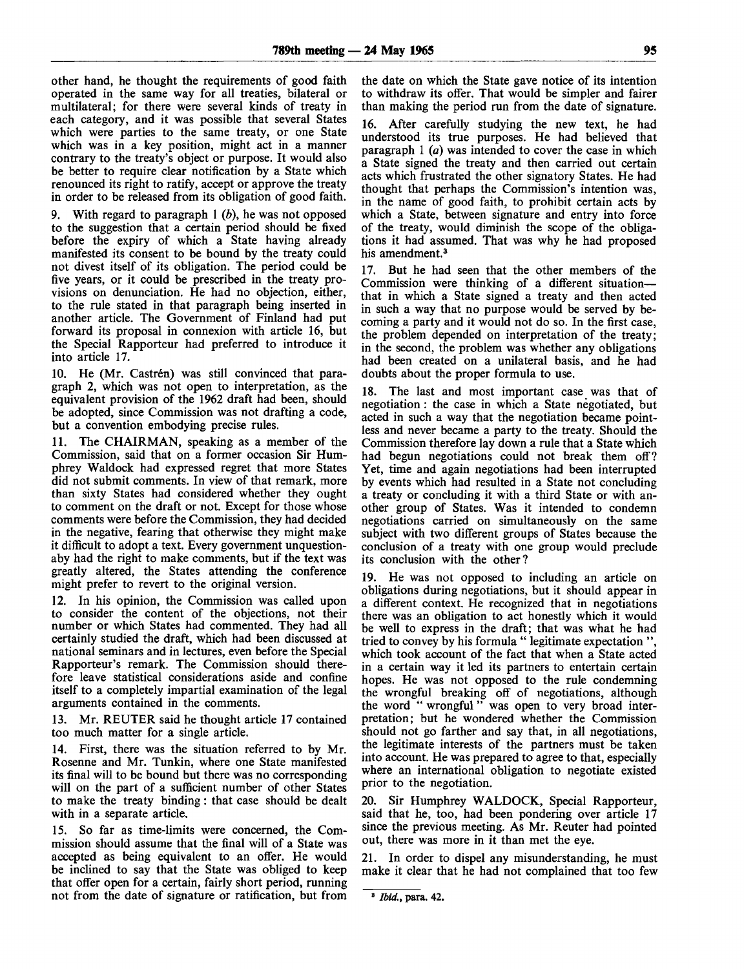other hand, he thought the requirements of good faith operated in the same way for all treaties, bilateral or multilateral; for there were several kinds of treaty in each category, and it was possible that several States which were parties to the same treaty, or one State which was in a key position, might act in a manner contrary to the treaty's object or purpose. It would also be better to require clear notification by a State which renounced its right to ratify, accept or approve the treaty in order to be released from its obligation of good faith.

9. With regard to paragraph 1 *(b),* he was not opposed to the suggestion that a certain period should be fixed before the expiry of which a State having already manifested its consent to be bound by the treaty could not divest itself of its obligation. The period could be five years, or it could be prescribed in the treaty provisions on denunciation. He had no objection, either, to the rule stated in that paragraph being inserted in another article. The Government of Finland had put forward its proposal in connexion with article 16, but the Special Rapporteur had preferred to introduce it into article 17.

10. He (Mr. Castrén) was still convinced that paragraph 2, which was not open to interpretation, as the equivalent provision of the 1962 draft had been, should be adopted, since Commission was not drafting a code, but a convention embodying precise rules.

11. The CHAIRMAN, speaking as a member of the Commission, said that on a former occasion Sir Humphrey Waldock had expressed regret that more States did not submit comments. In view of that remark, more than sixty States had considered whether they ought to comment on the draft or not. Except for those whose comments were before the Commission, they had decided in the negative, fearing that otherwise they might make it difficult to adopt a text. Every government unquestionaby had the right to make comments, but if the text was greatly altered, the States attending the conference might prefer to revert to the original version.

12. In his opinion, the Commission was called upon to consider the content of the objections, not their number or which States had commented. They had all certainly studied the draft, which had been discussed at national seminars and in lectures, even before the Special Rapporteur's remark. The Commission should therefore leave statistical considerations aside and confine itself to a completely impartial examination of the legal arguments contained in the comments.

13. Mr. REUTER said he thought article 17 contained too much matter for a single article.

14. First, there was the situation referred to by Mr. Rosenne and Mr. Tunkin, where one State manifested its final will to be bound but there was no corresponding will on the part of a sufficient number of other States to make the treaty binding: that case should be dealt with in a separate article.

15. So far as time-limits were concerned, the Commission should assume that the final will of a State was accepted as being equivalent to an offer. He would be inclined to say that the State was obliged to keep that offer open for a certain, fairly short period, running not from the date of signature or ratification, but from the date on which the State gave notice of its intention to withdraw its offer. That would be simpler and fairer than making the period run from the date of signature.

16. After carefully studying the new text, he had understood its true purposes. He had believed that paragraph 1 *(a)* was intended to cover the case in which a State signed the treaty and then carried out certain acts which frustrated the other signatory States. He had thought that perhaps the Commission's intention was, in the name of good faith, to prohibit certain acts by which a State, between signature and entry into force of the treaty, would diminish the scope of the obligations it had assumed. That was why he had proposed his amendment.<sup>3</sup>

17. But he had seen that the other members of the Commission were thinking of a different situation that in which a State signed a treaty and then acted in such a way that no purpose would be served by becoming a party and it would not do so. In the first case, the problem depended on interpretation of the treaty; in the second, the problem was whether any obligations had been created on a unilateral basis, and he had doubts about the proper formula to use.

18. The last and most important case was that of negotiation : the case in which a State negotiated, but acted in such a way that the negotiation became pointless and never became a party to the treaty. Should the Commission therefore lay down a rule that a State which had begun negotiations could not break them off? Yet, time and again negotiations had been interrupted by events which had resulted in a State not concluding a treaty or concluding it with a third State or with another group of States. Was it intended to condemn negotiations carried on simultaneously on the same subject with two different groups of States because the conclusion of a treaty with one group would preclude its conclusion with the other?

19. He was not opposed to including an article on obligations during negotiations, but it should appear in a different context. He recognized that in negotiations there was an obligation to act honestly which it would be well to express in the draft; that was what he had tried to convey by his formula " legitimate expectation ", which took account of the fact that when a State acted in a certain way it led its partners to entertain certain hopes. He was not opposed to the rule condemning the wrongful breaking off of negotiations, although the word " wrongful" was open to very broad interpretation; but he wondered whether the Commission should not go farther and say that, in all negotiations, the legitimate interests of the partners must be taken into account. He was prepared to agree to that, especially where an international obligation to negotiate existed prior to the negotiation.

20. Sir Humphrey WALDOCK, Special Rapporteur, said that he, too, had been pondering over article 17 since the previous meeting. As Mr. Reuter had pointed out, there was more in it than met the eye.

21. In order to dispel any misunderstanding, he must make it clear that he had not complained that too few

<sup>3</sup>  *Ibid.,* para. 42.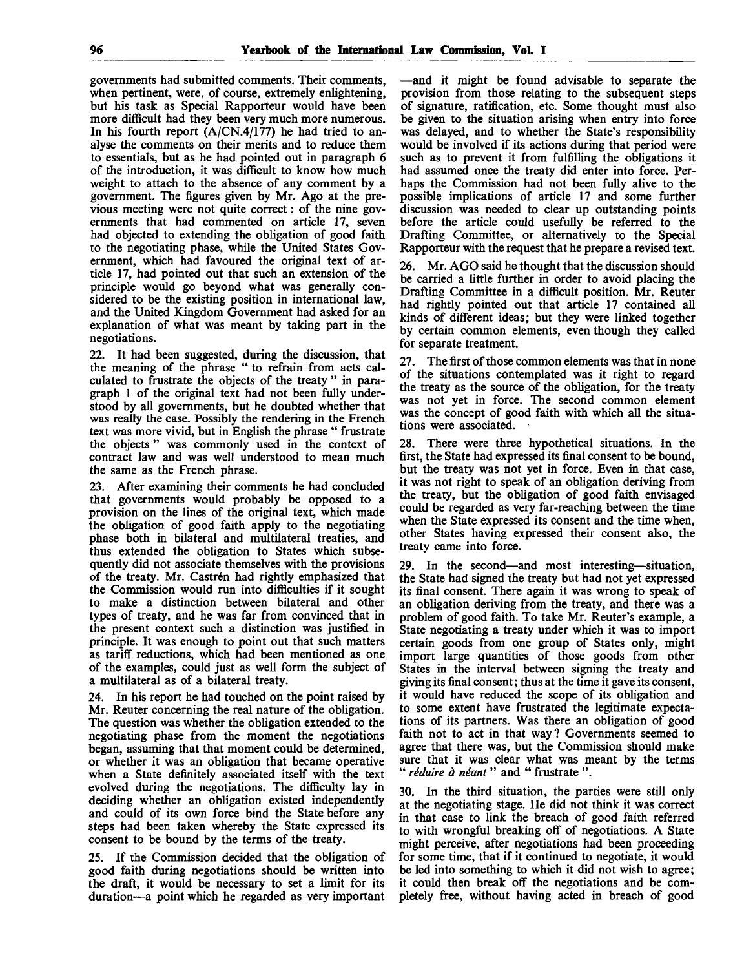governments had submitted comments. Their comments, when pertinent, were, of course, extremely enlightening, but his task as Special Rapporteur would have been more difficult had they been very much more numerous. In his fourth report (A/CN.4/177) he had tried to analyse the comments on their merits and to reduce them to essentials, but as he had pointed out in paragraph 6 of the introduction, it was difficult to know how much weight to attach to the absence of any comment by a government. The figures given by Mr. Ago at the previous meeting were not quite correct: of the nine governments that had commented on article 17, seven had objected to extending the obligation of good faith to the negotiating phase, while the United States Government, which had favoured the original text of article 17, had pointed out that such an extension of the principle would go beyond what was generally considered to be the existing position in international law, and the United Kingdom Government had asked for an explanation of what was meant by taking part in the negotiations.

22. It had been suggested, during the discussion, that the meaning of the phrase " to refrain from acts calculated to frustrate the objects of the treaty " in paragraph 1 of the original text had not been fully understood by all governments, but he doubted whether that was really the case. Possibly the rendering in the French text was more vivid, but in English the phrase " frustrate the objects " was commonly used in the context of contract law and was well understood to mean much the same as the French phrase.

23. After examining their comments he had concluded that governments would probably be opposed to a provision on the lines of the original text, which made the obligation of good faith apply to the negotiating phase both in bilateral and multilateral treaties, and thus extended the obligation to States which subsequently did not associate themselves with the provisions of the treaty. Mr. Castrén had rightly emphasized that the Commission would run into difficulties if it sought to make a distinction between bilateral and other types of treaty, and he was far from convinced that in the present context such a distinction was justified in principle. It was enough to point out that such matters as tariff reductions, which had been mentioned as one of the examples, could just as well form the subject of a multilateral as of a bilateral treaty.

24. In his report he had touched on the point raised by Mr. Reuter concerning the real nature of the obligation. The question was whether the obligation extended to the negotiating phase from the moment the negotiations began, assuming that that moment could be determined, or whether it was an obligation that became operative when a State definitely associated itself with the text evolved during the negotiations. The difficulty lay in deciding whether an obligation existed independently and could of its own force bind the State before any steps had been taken whereby the State expressed its consent to be bound by the terms of the treaty.

25. If the Commission decided that the obligation of good faith during negotiations should be written into the draft, it would be necessary to set a limit for its duration—a point which he regarded as very important —and it might be found advisable to separate the provision from those relating to the subsequent steps of signature, ratification, etc. Some thought must also be given to the situation arising when entry into force was delayed, and to whether the State's responsibility would be involved if its actions during that period were such as to prevent it from fulfilling the obligations it had assumed once the treaty did enter into force. Perhaps the Commission had not been fully alive to the possible implications of article 17 and some further discussion was needed to clear up outstanding points before the article could usefully be referred to the Drafting Committee, or alternatively to the Special Rapporteur with the request that he prepare a revised text.

26. Mr. AGO said he thought that the discussion should be carried a little further in order to avoid placing the Drafting Committee in a difficult position. Mr. Reuter had rightly pointed out that article 17 contained all kinds of different ideas; but they were linked together by certain common elements, even though they called for separate treatment.

27. The first of those common elements was that in none of the situations contemplated was it right to regard the treaty as the source of the obligation, for the treaty was not yet in force. The second common element was the concept of good faith with which all the situations were associated.

28. There were three hypothetical situations. In the first, the State had expressed its final consent to be bound, but the treaty was not yet in force. Even in that case, it was not right to speak of an obligation deriving from the treaty, but the obligation of good faith envisaged could be regarded as very far-reaching between the time when the State expressed its consent and the time when, other States having expressed their consent also, the treaty came into force.

29. In the second—and most interesting—situation, the State had signed the treaty but had not yet expressed its final consent. There again it was wrong to speak of an obligation deriving from the treaty, and there was a problem of good faith. To take Mr. Reuter's example, a State negotiating a treaty under which it was to import certain goods from one group of States only, might import large quantities of those goods from other States in the interval between signing the treaty and giving its final consent; thus at the time it gave its consent, it would have reduced the scope of its obligation and to some extent have frustrated the legitimate expectations of its partners. Was there an obligation of good faith not to act in that way? Governments seemed to agree that there was, but the Commission should make sure that it was clear what was meant by the terms " *reduire d neant* " and " frustrate ".

30. In the third situation, the parties were still only at the negotiating stage. He did not think it was correct in that case to link the breach of good faith referred to with wrongful breaking off of negotiations. A State might perceive, after negotiations had been proceeding for some time, that if it continued to negotiate, it would be led into something to which it did not wish to agree; it could then break off the negotiations and be completely free, without having acted in breach of good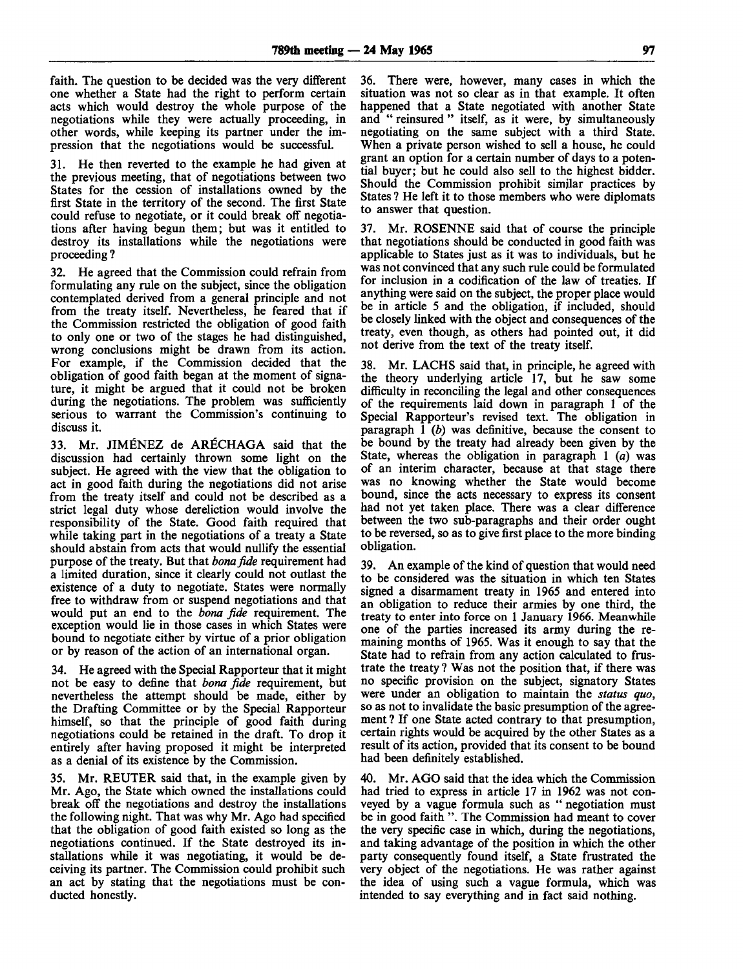faith. The question to be decided was the very different one whether a State had the right to perform certain acts which would destroy the whole purpose of the negotiations while they were actually proceeding, in other words, while keeping its partner under the impression that the negotiations would be successful.

31. He then reverted to the example he had given at the previous meeting, that of negotiations between two States for the cession of installations owned by the first State in the territory of the second. The first State could refuse to negotiate, or it could break off negotiations after having begun them; but was it entitled to destroy its installations while the negotiations were proceeding ?

32. He agreed that the Commission could refrain from formulating any rule on the subject, since the obligation contemplated derived from a general principle and not from the treaty itself. Nevertheless, he feared that if the Commission restricted the obligation of good faith to only one or two of the stages he had distinguished, wrong conclusions might be drawn from its action. For example, if the Commission decided that the obligation of good faith began at the moment of signature, it might be argued that it could not be broken during the negotiations. The problem was sufficiently serious to warrant the Commission's continuing to discuss it.

33. Mr. JIMENEZ de ARECHAGA said that the discussion had certainly thrown some light on the subject. He agreed with the view that the obligation to act in good faith during the negotiations did not arise from the treaty itself and could not be described as a strict legal duty whose dereliction would involve the responsibility of the State. Good faith required that while taking part in the negotiations of a treaty a State should abstain from acts that would nullify the essential purpose of the treaty. But that *bonafide* requirement had a limited duration, since it clearly could not outlast the existence of a duty to negotiate. States were normally free to withdraw from or suspend negotiations and that would put an end to the *bona fide* requirement. The exception would lie in those cases in which States were bound to negotiate either by virtue of a prior obligation or by reason of the action of an international organ.

34. He agreed with the Special Rapporteur that it might not be easy to define that *bona fide* requirement, but nevertheless the attempt should be made, either by the Drafting Committee or by the Special Rapporteur himself, so that the principle of good faith during negotiations could be retained in the draft. To drop it entirely after having proposed it might be interpreted as a denial of its existence by the Commission.

35. Mr. REUTER said that, in the example given by Mr. Ago, the State which owned the installations could break off the negotiations and destroy the installations the following night. That was why Mr. Ago had specified that the obligation of good faith existed so long as the negotiations continued. If the State destroyed its installations while it was negotiating, it would be deceiving its partner. The Commission could prohibit such an act by stating that the negotiations must be conducted honestly.

36. There were, however, many cases in which the situation was not so clear as in that example. It often happened that a State negotiated with another State and " reinsured " itself, as it were, by simultaneously negotiating on the same subject with a third State. When a private person wished to sell a house, he could grant an option for a certain number of days to a potential buyer; but he could also sell to the highest bidder. Should the Commission prohibit similar practices by States ? He left it to those members who were diplomats to answer that question.

37. Mr. ROSENNE said that of course the principle that negotiations should be conducted in good faith was applicable to States just as it was to individuals, but he was not convinced that any such rule could be formulated for inclusion in a codification of the law of treaties. If anything were said on the subject, the proper place would be in article 5 and the obligation, if included, should be closely linked with the object and consequences of the treaty, even though, as others had pointed out, it did not derive from the text of the treaty itself.

38. Mr. LACHS said that, in principle, he agreed with the theory underlying article 17, but he saw some difficulty in reconciling the legal and other consequences of the requirements laid down in paragraph 1 of the Special Rapporteur's revised text. The obligation in paragraph 1 *(b)* was definitive, because the consent to be bound by the treaty had already been given by the State, whereas the obligation in paragraph 1 *(a)* was of an interim character, because at that stage there was no knowing whether the State would become bound, since the acts necessary to express its consent had not yet taken place. There was a clear difference between the two sub-paragraphs and their order ought to be reversed, so as to give first place to the more binding obligation.

39. An example of the kind of question that would need to be considered was the situation in which ten States signed a disarmament treaty in 1965 and entered into an obligation to reduce their armies by one third, the treaty to enter into force on 1 January 1966. Meanwhile one of the parties increased its army during the remaining months of 1965. Was it enough to say that the State had to refrain from any action calculated to frustrate the treaty ? Was not the position that, if there was no specific provision on the subject, signatory States were under an obligation to maintain the *status quo,* so as not to invalidate the basic presumption of the agreement ? If one State acted contrary to that presumption, certain rights would be acquired by the other States as a result of its action, provided that its consent to be bound had been definitely established.

40. Mr. AGO said that the idea which the Commission had tried to express in article 17 in 1962 was not conveyed by a vague formula such as " negotiation must be in good faith ". The Commission had meant to cover the very specific case in which, during the negotiations, and taking advantage of the position in which the other party consequently found itself, a State frustrated the very object of the negotiations. He was rather against the idea of using such a vague formula, which was intended to say everything and in fact said nothing.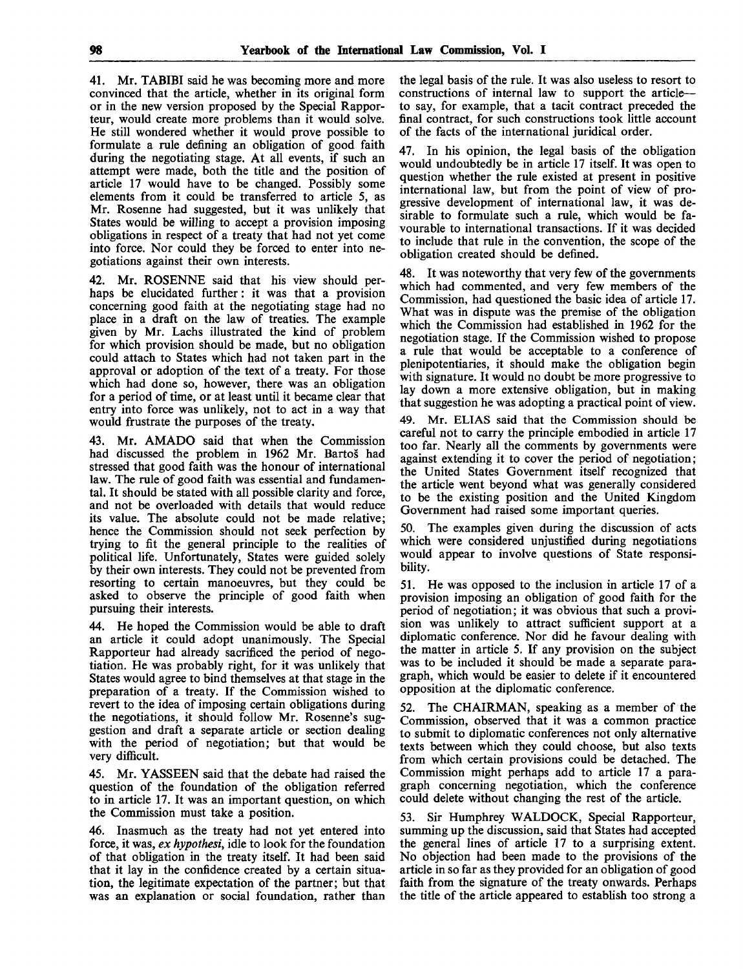**41.** Mr. **TABIBI** said he was becoming more and more convinced that the article, whether in its original form or in the new version proposed by the Special Rapporteur, would create more problems than it would solve. He still wondered whether it would prove possible to formulate a rule defining an obligation of good faith during the negotiating stage. At all events, if such an attempt were made, both the title and the position of article 17 would have to be changed. Possibly some elements from it could be transferred to article 5, as Mr. Rosenne had suggested, but it was unlikely that States would be willing to accept a provision imposing obligations in respect of a treaty that had not yet come into force. Nor could they be forced to enter into negotiations against their own interests.

42. Mr. ROSENNE said that his view should perhaps be elucidated further: it was that a provision concerning good faith at the negotiating stage had no place in a draft on the law of treaties. The example given by Mr. Lachs illustrated the kind of problem for which provision should be made, but no obligation could attach to States which had not taken part in the approval or adoption of the text of a treaty. For those which had done so, however, there was an obligation for a period of time, or at least until it became clear that entry into force was unlikely, not to act in a way that would frustrate the purposes of the treaty.

43. Mr. AMADO said that when the Commission had discussed the problem in 1962 Mr. Bartos had stressed that good faith was the honour of international law. The rule of good faith was essential and fundamental. It should be stated with all possible clarity and force, and not be overloaded with details that would reduce its value. The absolute could not be made relative; hence the Commission should not seek perfection by trying to fit the general principle to the realities of political life. Unfortunately, States were guided solely by their own interests. They could not be prevented from resorting to certain manoeuvres, but they could be asked to observe the principle of good faith when pursuing their interests.

44. He hoped the Commission would be able to draft an article it could adopt unanimously. The Special Rapporteur had already sacrificed the period of negotiation. He was probably right, for it was unlikely that States would agree to bind themselves at that stage in the preparation of a treaty. If the Commission wished to revert to the idea of imposing certain obligations during the negotiations, it should follow Mr. Rosenne's suggestion and draft a separate article or section dealing with the period of negotiation; but that would be very difficult.

45. Mr. YASSEEN said that the debate had raised the question of the foundation of the obligation referred to in article 17. It was an important question, on which the Commission must take a position.

46. Inasmuch as the treaty had not yet entered into force, it was, *ex hypothesi,* idle to look for the foundation of that obligation in the treaty itself. It had been said that it lay in the confidence created by a certain situation, the legitimate expectation of the partner; but that was an explanation or social foundation, rather than the legal basis of the rule. It was also useless to resort to constructions of internal law to support the article to say, for example, that a tacit contract preceded the final contract, for such constructions took little account of the facts of the international juridical order.

47. In his opinion, the legal basis of the obligation would undoubtedly be in article 17 itself. It was open to question whether the rule existed at present in positive international law, but from the point of view of progressive development of international law, it was desirable to formulate such a rule, which would be favourable to international transactions. If it was decided to include that rule in the convention, the scope of the obligation created should be defined.

48. It was noteworthy that very few of the governments which had commented, and very few members of the Commission, had questioned the basic idea of article 17. What was in dispute was the premise of the obligation which the Commission had established in 1962 for the negotiation stage. If the Commission wished to propose a rule that would be acceptable to a conference of plenipotentiaries, it should make the obligation begin with signature. It would no doubt be more progressive to lay down a more extensive obligation, but in making that suggestion he was adopting a practical point of view.

49. Mr. ELIAS said that the Commission should be careful not to carry the principle embodied in article 17 too far. Nearly all the comments by governments were against extending it to cover the period of negotiation; the United States Government itself recognized that the article went beyond what was generally considered to be the existing position and the United Kingdom Government had raised some important queries.

50. The examples given during the discussion of acts which were considered unjustified during negotiations would appear to involve questions of State responsibility.

51. He was opposed to the inclusion in article 17 of a provision imposing an obligation of good faith for the period of negotiation; it was obvious that such a provision was unlikely to attract sufficient support at a diplomatic conference. Nor did he favour dealing with the matter in article 5. If any provision on the subject was to be included it should be made a separate paragraph, which would be easier to delete if it encountered opposition at the diplomatic conference.

52. The CHAIRMAN, speaking as a member of the Commission, observed that it was a common practice to submit to diplomatic conferences not only alternative texts between which they could choose, but also texts from which certain provisions could be detached. The Commission might perhaps add to article 17 a paragraph concerning negotiation, which the conference could delete without changing the rest of the article.

53. Sir Humphrey WALDOCK, Special Rapporteur, summing up the discussion, said that States had accepted the general lines of article 17 to a surprising extent. No objection had been made to the provisions of the article in so far as they provided for an obligation of good faith from the signature of the treaty onwards. Perhaps the title of the article appeared to establish too strong a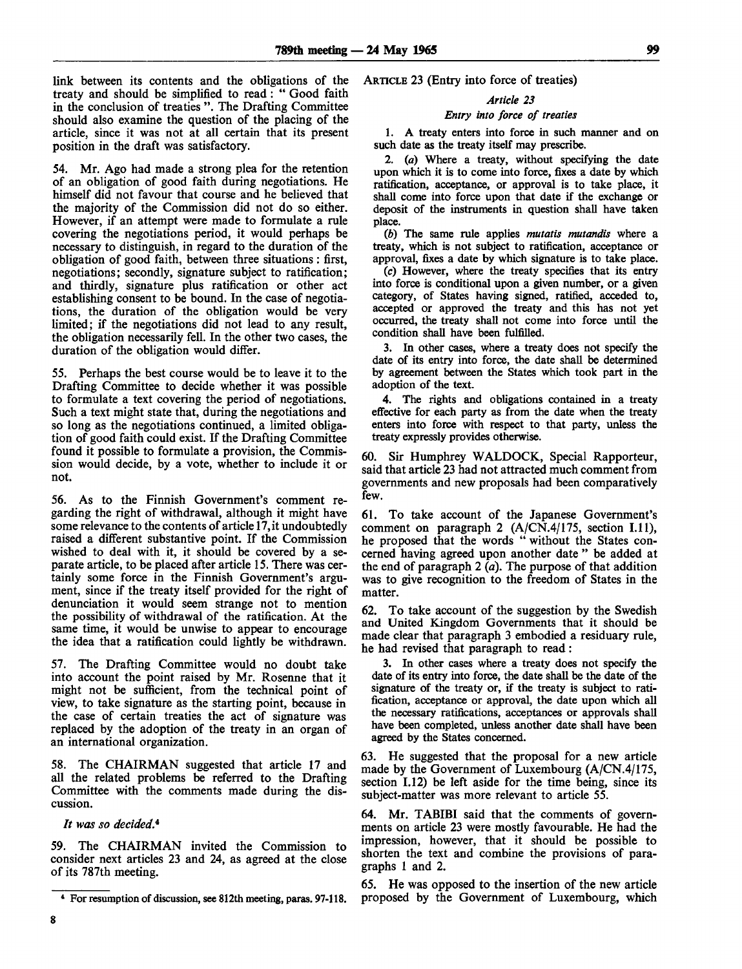link between its contents and the obligations of the treaty and should be simplified to read: " Good faith in the conclusion of treaties ". The Drafting Committee should also examine the question of the placing of the article, since it was not at all certain that its present position in the draft was satisfactory.

54. Mr. Ago had made a strong plea for the retention of an obligation of good faith during negotiations. He himself did not favour that course and he believed that the majority of the Commission did not do so either. However, if an attempt were made to formulate a rule covering the negotiations period, it would perhaps be necessary to distinguish, in regard to the duration of the obligation of good faith, between three situations : first, negotiations; secondly, signature subject to ratification; and thirdly, signature plus ratification or other act establishing consent to be bound. In the case of negotiations, the duration of the obligation would be very limited; if the negotiations did not lead to any result, the obligation necessarily fell. In the other two cases, the duration of the obligation would differ.

55. Perhaps the best course would be to leave it to the Drafting Committee to decide whether it was possible to formulate a text covering the period of negotiations. Such a text might state that, during the negotiations and so long as the negotiations continued, a limited obligation of good faith could exist. If the Drafting Committee found it possible to formulate a provision, the Commission would decide, by a vote, whether to include it or not.

56. As to the Finnish Government's comment regarding the right of withdrawal, although it might have some relevance to the contents of article 17, it undoubtedly raised a different substantive point. If the Commission wished to deal with it, it should be covered by a separate article, to be placed after article 15. There was certainly some force in the Finnish Government's argument, since if the treaty itself provided for the right of denunciation it would seem strange not to mention the possibility of withdrawal of the ratification. At the same time, it would be unwise to appear to encourage the idea that a ratification could lightly be withdrawn.

57. The Drafting Committee would no doubt take into account the point raised by Mr. Rosenne that it might not be sufficient, from the technical point of view, to take signature as the starting point, because in the case of certain treaties the act of signature was replaced by the adoption of the treaty in an organ of an international organization.

58. The CHAIRMAN suggested that article 17 and all the related problems be referred to the Drafting Committee with the comments made during the discussion.

It was so decided.<sup>4</sup>

59. The CHAIRMAN invited the Commission to consider next articles 23 and 24, as agreed at the close of its 787th meeting.

ARTICLE 23 (Entry into force of treaties)

# *Article 23*

# *Entry into force of treaties*

1. A treaty enters into force in such manner and on such date as the treaty itself may prescribe.

2. *(a)* Where a treaty, without specifying the date upon which it is to come into force, fixes a date by which ratification, acceptance, or approval is to take place, it shall come into force upon that date if the exchange or deposit of the instruments in question shall have taken place.

*(b)* The same rule applies *mutatis mutandis* where a treaty, which is not subject to ratification, acceptance or approval, fixes a date by which signature is to take place.

(c) However, where the treaty specifies that its entry into force is conditional upon a given number, or a given category, of States having signed, ratified, acceded to, accepted or approved the treaty and this has not yet occurred, the treaty shall not come into force until the condition shall have been fulfilled.

3. In other cases, where a treaty does not specify the date of its entry into force, the date shall be determined by agreement between the States which took part in the adoption of the text.

4. The rights and obligations contained in a treaty effective for each party as from the date when the treaty enters into force with respect to that party, unless the treaty expressly provides otherwise.

60. Sir Humphrey WALDOCK, Special Rapporteur, said that article 23 had not attracted much comment from governments and new proposals had been comparatively few.

61. To take account of the Japanese Government's comment on paragraph 2 (A/CN.4/175, section I.11), he proposed that the words " without the States concerned having agreed upon another date " be added at the end of paragraph  $2(a)$ . The purpose of that addition was to give recognition to the freedom of States in the matter.

62. To take account of the suggestion by the Swedish and United Kingdom Governments that it should be made clear that paragraph 3 embodied a residuary rule, he had revised that paragraph to read:

3. In other cases where a treaty does not specify the date of its entry into force, the date shall be the date of the signature of the treaty or, if the treaty is subject to ratification, acceptance or approval, the date upon which all the necessary ratifications, acceptances or approvals shall have been completed, unless another date shall have been agreed by the States concerned.

63. He suggested that the proposal for a new article made by the Government of Luxembourg (A/CN.4/175, section 1.12) be left aside for the time being, since its subject-matter was more relevant to article 55.

64. Mr. TABIBI said that the comments of governments on article 23 were mostly favourable. He had the impression, however, that it should be possible to shorten the text and combine the provisions of paragraphs 1 and 2.

65. He was opposed to the insertion of the new article proposed by the Government of Luxembourg, which

For resumption of discussion, see 812th meeting, paras. 97-118.